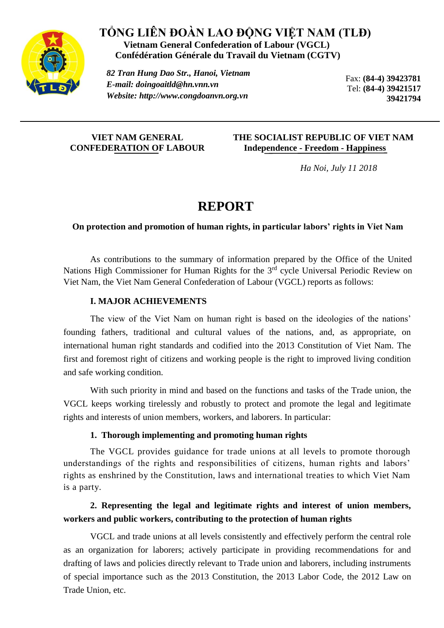

## **TỔNG LIÊN ĐOÀN LAO ĐỘNG VIỆT NAM (TLĐ) Vietnam General Confederation of Labour (VGCL) Confédération Générale du Travail du Vietnam (CGTV)**

*82 Tran Hung Dao Str., Hanoi, Vietnam E-mail: [doingoaitld@hn.vnn.vn](mailto:doingoaitld@hn.vnn.vn) Website: http://www.congdoanvn.org.vn* 

Fax: **(84-4) 39423781** Tel: **(84-4) 39421517 39421794**

## **VIET NAM GENERAL CONFEDERATION OF LABOUR**

## **THE SOCIALIST REPUBLIC OF VIET NAM Independence - Freedom - Happiness**

 *Ha Noi, July 11 2018*

# **REPORT**

## **On protection and promotion of human rights, in particular labors' rights in Viet Nam**

As contributions to the summary of information prepared by the Office of the United Nations High Commissioner for Human Rights for the 3<sup>rd</sup> cycle Universal Periodic Review on Viet Nam, the Viet Nam General Confederation of Labour (VGCL) reports as follows:

## **I. MAJOR ACHIEVEMENTS**

The view of the Viet Nam on human right is based on the ideologies of the nations' founding fathers, traditional and cultural values of the nations, and, as appropriate, on international human right standards and codified into the 2013 Constitution of Viet Nam. The first and foremost right of citizens and working people is the right to improved living condition and safe working condition.

With such priority in mind and based on the functions and tasks of the Trade union, the VGCL keeps working tirelessly and robustly to protect and promote the legal and legitimate rights and interests of union members, workers, and laborers. In particular:

## **1. Thorough implementing and promoting human rights**

The VGCL provides guidance for trade unions at all levels to promote thorough understandings of the rights and responsibilities of citizens, human rights and labors' rights as enshrined by the Constitution, laws and international treaties to which Viet Nam is a party.

## **2. Representing the legal and legitimate rights and interest of union members, workers and public workers, contributing to the protection of human rights**

VGCL and trade unions at all levels consistently and effectively perform the central role as an organization for laborers; actively participate in providing recommendations for and drafting of laws and policies directly relevant to Trade union and laborers, including instruments of special importance such as the 2013 Constitution, the 2013 Labor Code, the 2012 Law on Trade Union, etc.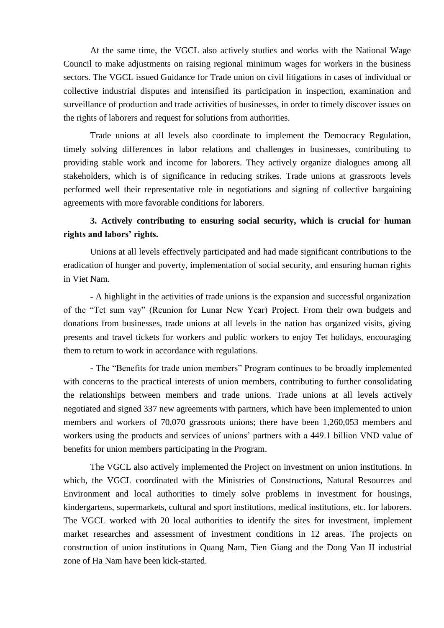At the same time, the VGCL also actively studies and works with the National Wage Council to make adjustments on raising regional minimum wages for workers in the business sectors. The VGCL issued Guidance for Trade union on civil litigations in cases of individual or collective industrial disputes and intensified its participation in inspection, examination and surveillance of production and trade activities of businesses, in order to timely discover issues on the rights of laborers and request for solutions from authorities.

Trade unions at all levels also coordinate to implement the Democracy Regulation, timely solving differences in labor relations and challenges in businesses, contributing to providing stable work and income for laborers. They actively organize dialogues among all stakeholders, which is of significance in reducing strikes. Trade unions at grassroots levels performed well their representative role in negotiations and signing of collective bargaining agreements with more favorable conditions for laborers.

## **3. Actively contributing to ensuring social security, which is crucial for human rights and labors' rights.**

Unions at all levels effectively participated and had made significant contributions to the eradication of hunger and poverty, implementation of social security, and ensuring human rights in Viet Nam.

- A highlight in the activities of trade unions is the expansion and successful organization of the "Tet sum vay" (Reunion for Lunar New Year) Project. From their own budgets and donations from businesses, trade unions at all levels in the nation has organized visits, giving presents and travel tickets for workers and public workers to enjoy Tet holidays, encouraging them to return to work in accordance with regulations.

- The "Benefits for trade union members" Program continues to be broadly implemented with concerns to the practical interests of union members, contributing to further consolidating the relationships between members and trade unions. Trade unions at all levels actively negotiated and signed 337 new agreements with partners, which have been implemented to union members and workers of 70,070 grassroots unions; there have been 1,260,053 members and workers using the products and services of unions' partners with a 449.1 billion VND value of benefits for union members participating in the Program.

The VGCL also actively implemented the Project on investment on union institutions. In which, the VGCL coordinated with the Ministries of Constructions, Natural Resources and Environment and local authorities to timely solve problems in investment for housings, kindergartens, supermarkets, cultural and sport institutions, medical institutions, etc. for laborers. The VGCL worked with 20 local authorities to identify the sites for investment, implement market researches and assessment of investment conditions in 12 areas. The projects on construction of union institutions in Quang Nam, Tien Giang and the Dong Van II industrial zone of Ha Nam have been kick-started.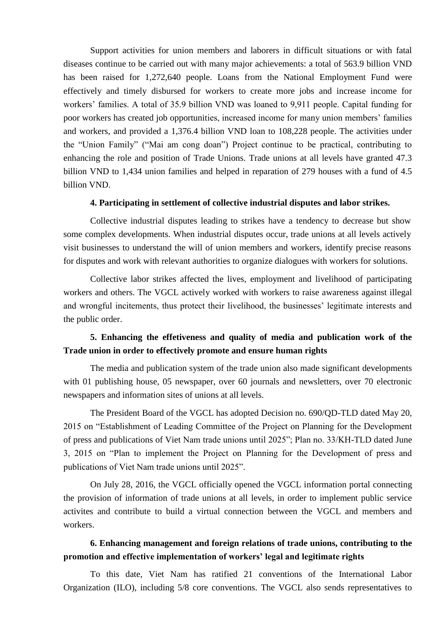Support activities for union members and laborers in difficult situations or with fatal diseases continue to be carried out with many major achievements: a total of 563.9 billion VND has been raised for 1,272,640 people. Loans from the National Employment Fund were effectively and timely disbursed for workers to create more jobs and increase income for workers' families. A total of 35.9 billion VND was loaned to 9,911 people. Capital funding for poor workers has created job opportunities, increased income for many union members' families and workers, and provided a 1,376.4 billion VND loan to 108,228 people. The activities under the "Union Family" ("Mai am cong doan") Project continue to be practical, contributing to enhancing the role and position of Trade Unions. Trade unions at all levels have granted 47.3 billion VND to 1,434 union families and helped in reparation of 279 houses with a fund of 4.5 billion VND.

#### **4. Participating in settlement of collective industrial disputes and labor strikes.**

Collective industrial disputes leading to strikes have a tendency to decrease but show some complex developments. When industrial disputes occur, trade unions at all levels actively visit businesses to understand the will of union members and workers, identify precise reasons for disputes and work with relevant authorities to organize dialogues with workers for solutions.

Collective labor strikes affected the lives, employment and livelihood of participating workers and others. The VGCL actively worked with workers to raise awareness against illegal and wrongful incitements, thus protect their livelihood, the businesses' legitimate interests and the public order.

## **5. Enhancing the effetiveness and quality of media and publication work of the Trade union in order to effectively promote and ensure human rights**

The media and publication system of the trade union also made significant developments with 01 publishing house, 05 newspaper, over 60 journals and newsletters, over 70 electronic newspapers and information sites of unions at all levels.

The President Board of the VGCL has adopted Decision no. 690/QD-TLD dated May 20, 2015 on "Establishment of Leading Committee of the Project on Planning for the Development of press and publications of Viet Nam trade unions until 2025"; Plan no. 33/KH-TLD dated June 3, 2015 on "Plan to implement the Project on Planning for the Development of press and publications of Viet Nam trade unions until 2025".

On July 28, 2016, the VGCL officially opened the VGCL information portal connecting the provision of information of trade unions at all levels, in order to implement public service activites and contribute to build a virtual connection between the VGCL and members and workers.

## **6. Enhancing management and foreign relations of trade unions, contributing to the promotion and effective implementation of workers' legal and legitimate rights**

To this date, Viet Nam has ratified 21 conventions of the International Labor Organization (ILO), including 5/8 core conventions. The VGCL also sends representatives to